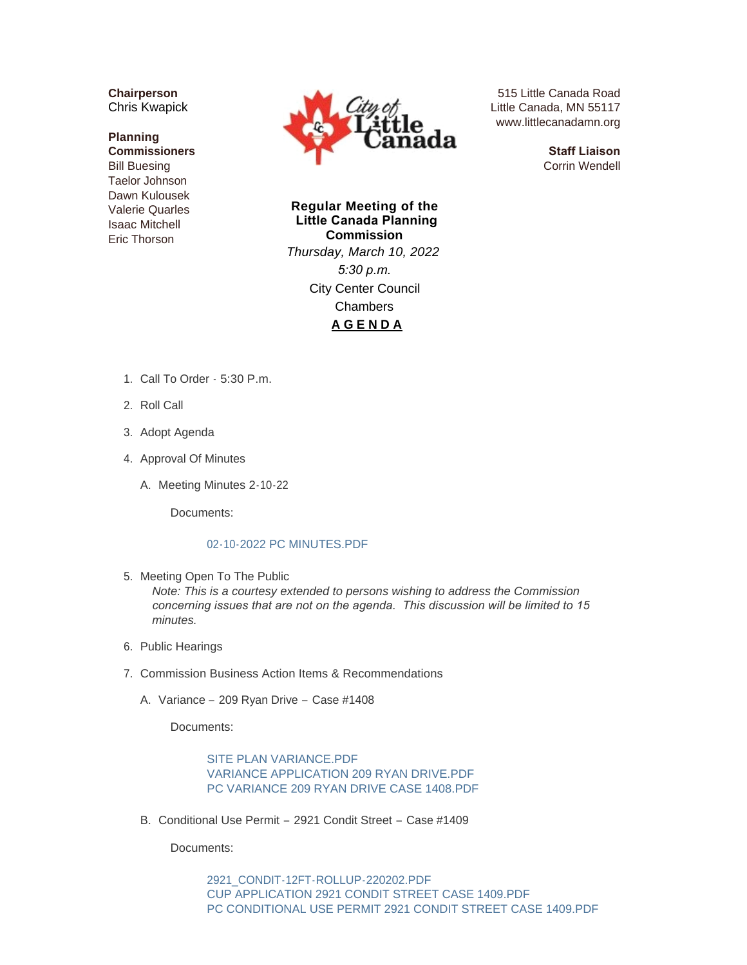**Chairperson** Chris Kwapick

## **Planning Commissioners** Bill Buesing Taelor Johnson Dawn Kulousek Valerie Quarles Isaac Mitchell Eric Thorson



515 Little Canada Road Little Canada, MN 55117 www.littlecanadamn.org

> **Staff Liaison** Corrin Wendell

**Regular Meeting of the Little Canada Planning Commission** *Thursday, March 10, 2022 5:30 p.m.* City Center Council Chambers **A G E N D A**

- 1. Call To Order 5:30 P.m.
- 2. Roll Call
- 3. Adopt Agenda
- 4. Approval Of Minutes
	- A. Meeting Minutes 2-10-22

Documents:

## [02-10-2022 PC MINUTES.PDF](http://www.littlecanadamn.org/AgendaCenter/ViewFile/Item/3814?fileID=3557)

5. Meeting Open To The Public

*Note: This is a courtesy extended to persons wishing to address the Commission concerning issues that are not on the agenda. This discussion will be limited to 15 minutes.*

- 6. Public Hearings
- 7. Commission Business Action Items & Recommendations
	- A. Variance 209 Ryan Drive Case #1408

Documents:

[SITE PLAN VARIANCE.PDF](http://www.littlecanadamn.org/AgendaCenter/ViewFile/Item/3841?fileID=3566) [VARIANCE APPLICATION 209 RYAN DRIVE.PDF](http://www.littlecanadamn.org/AgendaCenter/ViewFile/Item/3841?fileID=3567) [PC VARIANCE 209 RYAN DRIVE CASE 1408.PDF](http://www.littlecanadamn.org/AgendaCenter/ViewFile/Item/3841?fileID=3582)

Conditional Use Permit – 2921 Condit Street – Case #1409 B.

Documents:

[2921\\_CONDIT-12FT-ROLLUP-220202.PDF](http://www.littlecanadamn.org/AgendaCenter/ViewFile/Item/3842?fileID=3569) [CUP APPLICATION 2921 CONDIT STREET CASE 1409.PDF](http://www.littlecanadamn.org/AgendaCenter/ViewFile/Item/3842?fileID=3570) [PC CONDITIONAL USE PERMIT 2921 CONDIT STREET CASE 1409.PDF](http://www.littlecanadamn.org/AgendaCenter/ViewFile/Item/3842?fileID=3575)